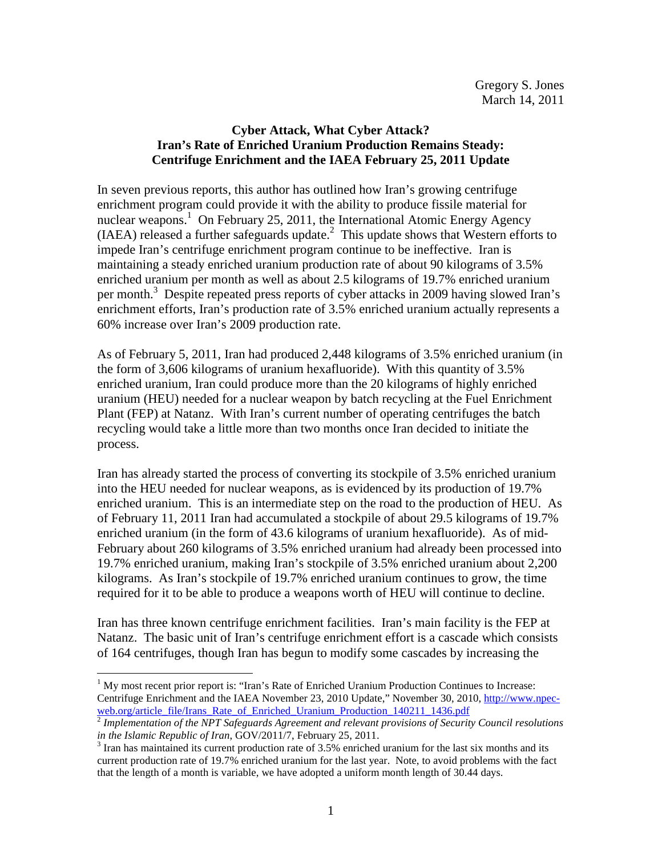## **Cyber Attack, What Cyber Attack? Iran's Rate of Enriched Uranium Production Remains Steady: Centrifuge Enrichment and the IAEA February 25, 2011 Update**

In seven previous reports, this author has outlined how Iran's growing centrifuge enrichment program could provide it with the ability to produce fissile material for nuclear weapons.<sup>1</sup> On February 25, 2011, the International Atomic Energy Agency  $(IAEA)$  released a further safeguards update. $<sup>2</sup>$  This update shows that Western efforts to</sup> impede Iran's centrifuge enrichment program continue to be ineffective. Iran is maintaining a steady enriched uranium production rate of about 90 kilograms of 3.5% enriched uranium per month as well as about 2.5 kilograms of 19.7% enriched uranium per month.<sup>3</sup> Despite repeated press reports of cyber attacks in 2009 having slowed Iran's enrichment efforts, Iran's production rate of 3.5% enriched uranium actually represents a 60% increase over Iran's 2009 production rate.

As of February 5, 2011, Iran had produced 2,448 kilograms of 3.5% enriched uranium (in the form of 3,606 kilograms of uranium hexafluoride). With this quantity of 3.5% enriched uranium, Iran could produce more than the 20 kilograms of highly enriched uranium (HEU) needed for a nuclear weapon by batch recycling at the Fuel Enrichment Plant (FEP) at Natanz. With Iran's current number of operating centrifuges the batch recycling would take a little more than two months once Iran decided to initiate the process.

Iran has already started the process of converting its stockpile of 3.5% enriched uranium into the HEU needed for nuclear weapons, as is evidenced by its production of 19.7% enriched uranium. This is an intermediate step on the road to the production of HEU. As of February 11, 2011 Iran had accumulated a stockpile of about 29.5 kilograms of 19.7% enriched uranium (in the form of 43.6 kilograms of uranium hexafluoride). As of mid-February about 260 kilograms of 3.5% enriched uranium had already been processed into 19.7% enriched uranium, making Iran's stockpile of 3.5% enriched uranium about 2,200 kilograms. As Iran's stockpile of 19.7% enriched uranium continues to grow, the time required for it to be able to produce a weapons worth of HEU will continue to decline.

Iran has three known centrifuge enrichment facilities. Iran's main facility is the FEP at Natanz. The basic unit of Iran's centrifuge enrichment effort is a cascade which consists of 164 centrifuges, though Iran has begun to modify some cascades by increasing the

 $\overline{a}$ 

 $<sup>1</sup>$  My most recent prior report is: "Iran's Rate of Enriched Uranium Production Continues to Increase:</sup> Centrifuge Enrichment and the IAEA November 23, 2010 Update," November 30, 2010, http://www.npecweb.org/article\_file/Irans\_Rate\_of\_Enriched\_Uranium\_Production\_140211\_1436.pdf

<sup>2</sup> *Implementation of the NPT Safeguards Agreement and relevant provisions of Security Council resolutions in the Islamic Republic of Iran*, GOV/2011/7, February 25, 2011.

 $3$  Iran has maintained its current production rate of 3.5% enriched uranium for the last six months and its current production rate of 19.7% enriched uranium for the last year. Note, to avoid problems with the fact that the length of a month is variable, we have adopted a uniform month length of 30.44 days.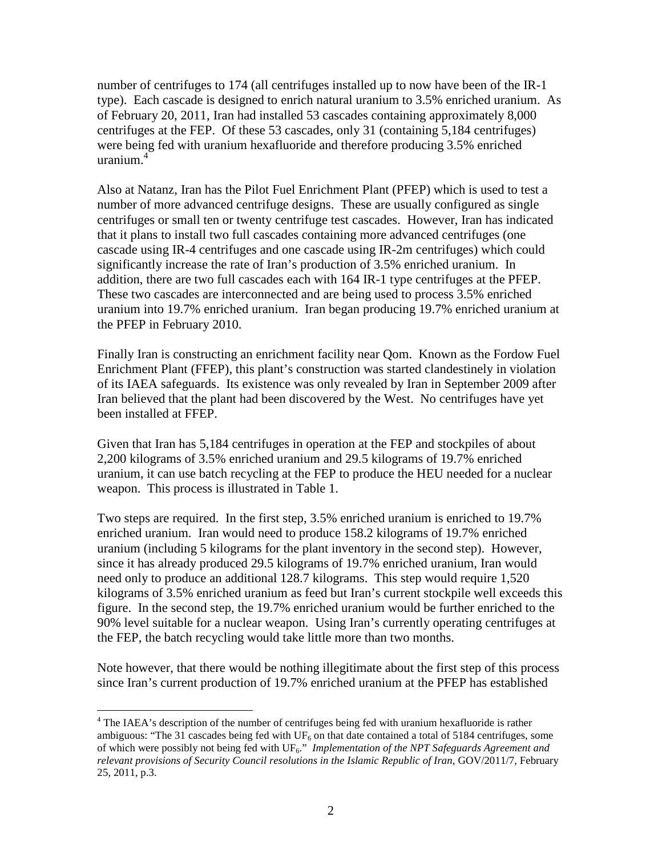number of centrifuges to 174 (all centrifuges installed up to now have been of the IR-1 type). Each cascade is designed to enrich natural uranium to 3.5% enriched uranium. As of February 20, 2011, Iran had installed 53 cascades containing approximately 8,000 centrifuges at the FEP. Of these 53 cascades, only 31 (containing 5,184 centrifuges) were being fed with uranium hexafluoride and therefore producing 3.5% enriched uranium.<sup>4</sup>

Also at Natanz, Iran has the Pilot Fuel Enrichment Plant (PFEP) which is used to test a number of more advanced centrifuge designs. These are usually configured as single centrifuges or small ten or twenty centrifuge test cascades. However, Iran has indicated that it plans to install two full cascades containing more advanced centrifuges (one cascade using IR-4 centrifuges and one cascade using IR-2m centrifuges) which could significantly increase the rate of Iran's production of 3.5% enriched uranium. In addition, there are two full cascades each with 164 IR-1 type centrifuges at the PFEP. These two cascades are interconnected and are being used to process 3.5% enriched uranium into 19.7% enriched uranium. Iran began producing 19.7% enriched uranium at the PFEP in February 2010.

Finally Iran is constructing an enrichment facility near Qom. Known as the Fordow Fuel Enrichment Plant (FFEP), this plant's construction was started clandestinely in violation of its IAEA safeguards. Its existence was only revealed by Iran in September 2009 after Iran believed that the plant had been discovered by the West. No centrifuges have yet been installed at FFEP.

Given that Iran has 5,184 centrifuges in operation at the FEP and stockpiles of about 2,200 kilograms of 3.5% enriched uranium and 29.5 kilograms of 19.7% enriched uranium, it can use batch recycling at the FEP to produce the HEU needed for a nuclear weapon. This process is illustrated in Table 1.

Two steps are required. In the first step, 3.5% enriched uranium is enriched to 19.7% enriched uranium. Iran would need to produce 158.2 kilograms of 19.7% enriched uranium (including 5 kilograms for the plant inventory in the second step). However, since it has already produced 29.5 kilograms of 19.7% enriched uranium, Iran would need only to produce an additional 128.7 kilograms. This step would require 1,520 kilograms of 3.5% enriched uranium as feed but Iran's current stockpile well exceeds this figure. In the second step, the 19.7% enriched uranium would be further enriched to the 90% level suitable for a nuclear weapon. Using Iran's currently operating centrifuges at the FEP, the batch recycling would take little more than two months.

Note however, that there would be nothing illegitimate about the first step of this process since Iran's current production of 19.7% enriched uranium at the PFEP has established

The IAEA's description of the number of centrifuges being fed with uranium hexafluoride is rather ambiguous: "The 31 cascades being fed with  $UF_6$  on that date contained a total of 5184 centrifuges, some of which were possibly not being fed with UF<sub>6</sub>." *Implementation of the NPT Safeguards Agreement and relevant provisions of Security Council resolutions in the Islamic Republic of Iran*, GOV/2011/7, February 25, 2011, p.3.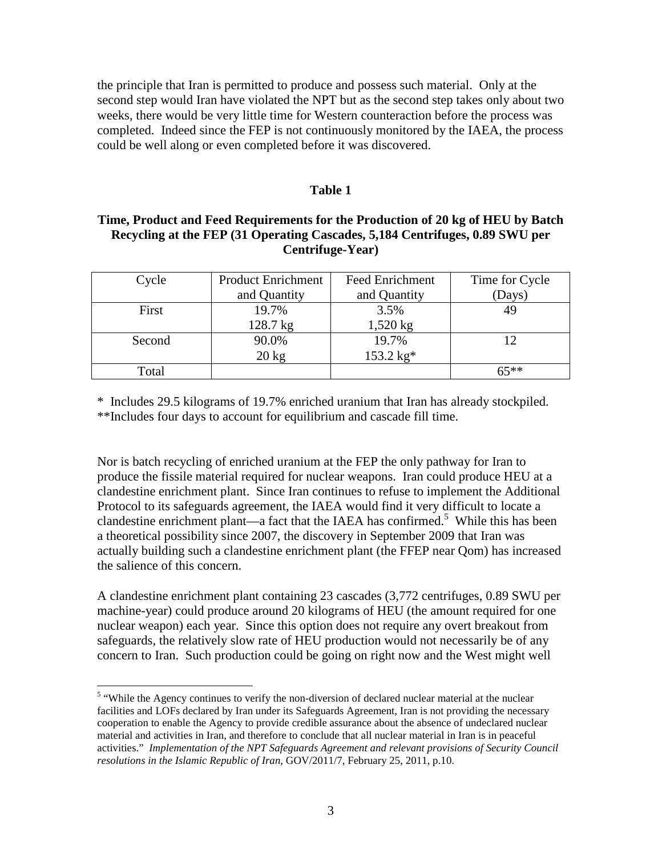the principle that Iran is permitted to produce and possess such material. Only at the second step would Iran have violated the NPT but as the second step takes only about two weeks, there would be very little time for Western counteraction before the process was completed. Indeed since the FEP is not continuously monitored by the IAEA, the process could be well along or even completed before it was discovered.

## **Table 1**

## **Time, Product and Feed Requirements for the Production of 20 kg of HEU by Batch Recycling at the FEP (31 Operating Cascades, 5,184 Centrifuges, 0.89 SWU per Centrifuge-Year)**

| Cycle  | <b>Product Enrichment</b> | <b>Feed Enrichment</b> | Time for Cycle |
|--------|---------------------------|------------------------|----------------|
|        | and Quantity              | and Quantity           | (Days)         |
| First  | 19.7%                     | 3.5%                   |                |
|        | 128.7 kg                  | $1,520$ kg             |                |
| Second | 90.0%                     | 19.7%                  |                |
|        | $20 \text{ kg}$           | 153.2 kg*              |                |
| Total  |                           |                        | $65***$        |

\* Includes 29.5 kilograms of 19.7% enriched uranium that Iran has already stockpiled. \*\*Includes four days to account for equilibrium and cascade fill time.

Nor is batch recycling of enriched uranium at the FEP the only pathway for Iran to produce the fissile material required for nuclear weapons. Iran could produce HEU at a clandestine enrichment plant. Since Iran continues to refuse to implement the Additional Protocol to its safeguards agreement, the IAEA would find it very difficult to locate a clandestine enrichment plant—a fact that the IAEA has confirmed.<sup>5</sup> While this has been a theoretical possibility since 2007, the discovery in September 2009 that Iran was actually building such a clandestine enrichment plant (the FFEP near Qom) has increased the salience of this concern.

A clandestine enrichment plant containing 23 cascades (3,772 centrifuges, 0.89 SWU per machine-year) could produce around 20 kilograms of HEU (the amount required for one nuclear weapon) each year. Since this option does not require any overt breakout from safeguards, the relatively slow rate of HEU production would not necessarily be of any concern to Iran. Such production could be going on right now and the West might well

 $\overline{a}$ 

<sup>&</sup>lt;sup>5</sup> "While the Agency continues to verify the non-diversion of declared nuclear material at the nuclear facilities and LOFs declared by Iran under its Safeguards Agreement, Iran is not providing the necessary cooperation to enable the Agency to provide credible assurance about the absence of undeclared nuclear material and activities in Iran, and therefore to conclude that all nuclear material in Iran is in peaceful activities." *Implementation of the NPT Safeguards Agreement and relevant provisions of Security Council resolutions in the Islamic Republic of Iran*, GOV/2011/7, February 25, 2011, p.10.